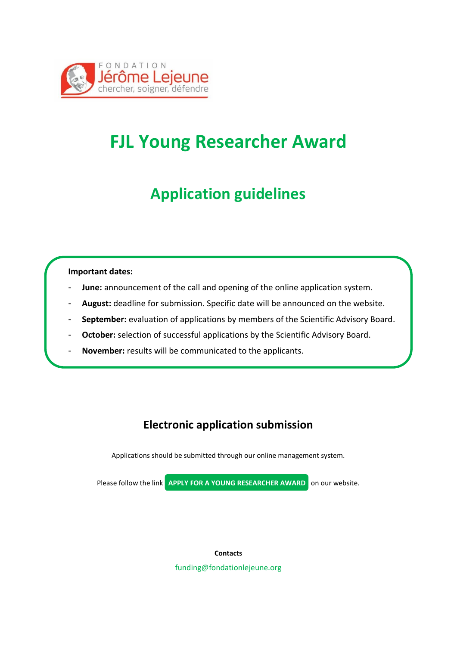

## **FJL Young Researcher Award**

#### **Application guidelines**

#### **Important dates:**

- **June:** announcement of the call and opening of the online application system.
- August: deadline for submission. Specific date will be announced on the website.
- September: evaluation of applications by members of the Scientific Advisory Board.
- October: selection of successful applications by the Scientific Advisory Board.
- **November:** results will be communicated to the applicants.

#### **Electronic application submission**

Applications should be submitted through our online management system.

Please follow the link **APPLY FOR A YOUNG RESEARCHER AWARD** on our website.

**Contacts** funding@fondationlejeune.org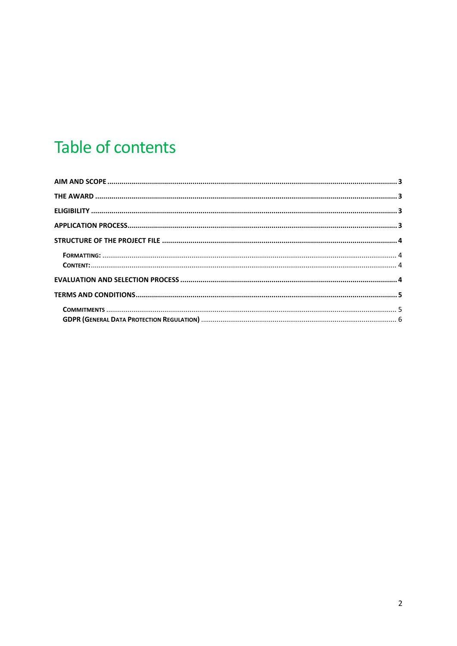# Table of contents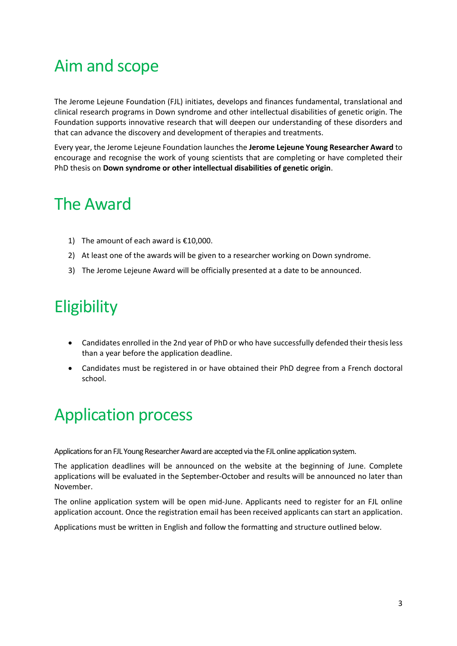### <span id="page-2-0"></span>Aim and scope

The Jerome Lejeune Foundation (FJL) initiates, develops and finances fundamental, translational and clinical research programs in Down syndrome and other intellectual disabilities of genetic origin. The Foundation supports innovative research that will deepen our understanding of these disorders and that can advance the discovery and development of therapies and treatments.

Every year, the Jerome Lejeune Foundation launches the **Jerome Lejeune Young Researcher Award** to encourage and recognise the work of young scientists that are completing or have completed their PhD thesis on **Down syndrome or other intellectual disabilities of genetic origin**.

### <span id="page-2-1"></span>The Award

- 1) The amount of each award is €10,000.
- 2) At least one of the awards will be given to a researcher working on Down syndrome.
- 3) The Jerome Lejeune Award will be officially presented at a date to be announced.

# <span id="page-2-2"></span>**Eligibility**

- Candidates enrolled in the 2nd year of PhD or who have successfully defended their thesis less than a year before the application deadline.
- Candidates must be registered in or have obtained their PhD degree from a French doctoral school.

## <span id="page-2-3"></span>Application process

Applications for an FJL Young Researcher Award are accepted via the FJL online application system.

The application deadlines will be announced on the website at the beginning of June. Complete applications will be evaluated in the September-October and results will be announced no later than November.

The online application system will be open mid-June. Applicants need to register for an FJL online application account. Once the registration email has been received applicants can start an application.

Applications must be written in English and follow the formatting and structure outlined below.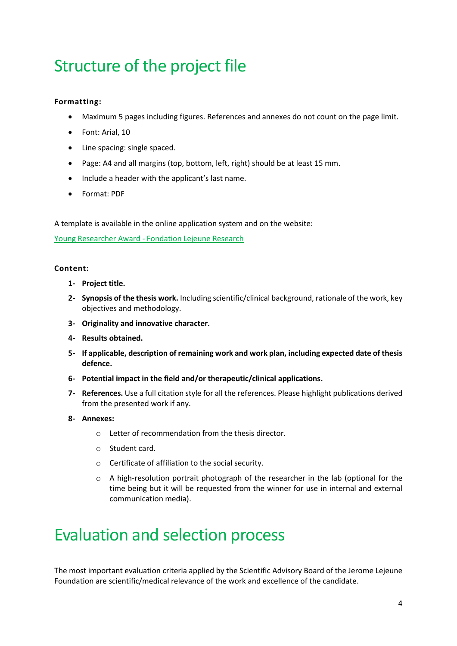# <span id="page-3-0"></span>Structure of the project file

#### <span id="page-3-1"></span>**Formatting:**

- Maximum 5 pages including figures. References and annexes do not count on the page limit.
- Font: Arial, 10
- Line spacing: single spaced.
- Page: A4 and all margins (top, bottom, left, right) should be at least 15 mm.
- Include a header with the applicant's last name.
- Format: PDF

A template is available in the online application system and on the website:

Young Researcher Award - [Fondation Lejeune Research](https://www.research.fondationlejeune.org/young-research-awards/)

#### <span id="page-3-2"></span>**Content:**

- **1- Project title.**
- **2- Synopsis of the thesis work.** Including scientific/clinical background, rationale of the work, key objectives and methodology.
- **3- Originality and innovative character.**
- **4- Results obtained.**
- **5- If applicable, description of remaining work and work plan, including expected date of thesis defence.**
- **6- Potential impact in the field and/or therapeutic/clinical applications.**
- **7- References.** Use a full citation style for all the references. Please highlight publications derived from the presented work if any.
- **8- Annexes:**
	- o Letter of recommendation from the thesis director.
	- o Student card.
	- o Certificate of affiliation to the social security.
	- o A high-resolution portrait photograph of the researcher in the lab (optional for the time being but it will be requested from the winner for use in internal and external communication media).

### <span id="page-3-3"></span>Evaluation and selection process

The most important evaluation criteria applied by the Scientific Advisory Board of the Jerome Lejeune Foundation are scientific/medical relevance of the work and excellence of the candidate.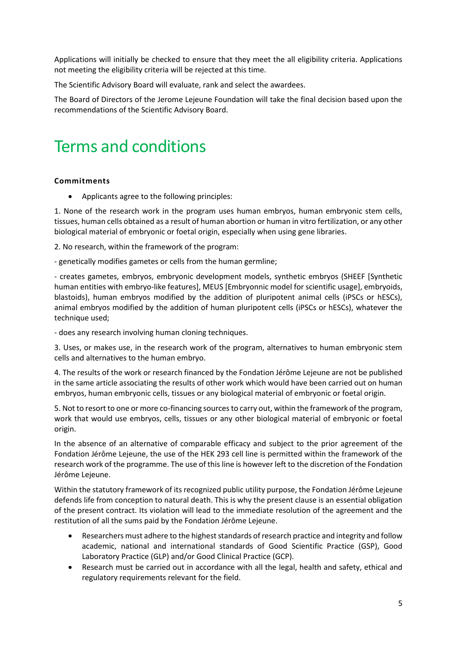Applications will initially be checked to ensure that they meet the all eligibility criteria. Applications not meeting the eligibility criteria will be rejected at this time.

The Scientific Advisory Board will evaluate, rank and select the awardees.

The Board of Directors of the Jerome Lejeune Foundation will take the final decision based upon the recommendations of the Scientific Advisory Board.

### <span id="page-4-0"></span>Terms and conditions

#### <span id="page-4-1"></span>**Commitments**

• Applicants agree to the following principles:

1. None of the research work in the program uses human embryos, human embryonic stem cells, tissues, human cells obtained as a result of human abortion or human in vitro fertilization, or any other biological material of embryonic or foetal origin, especially when using gene libraries.

2. No research, within the framework of the program:

- genetically modifies gametes or cells from the human germline;

- creates gametes, embryos, embryonic development models, synthetic embryos (SHEEF [Synthetic human entities with embryo-like features], MEUS [Embryonnic model for scientific usage], embryoids, blastoids), human embryos modified by the addition of pluripotent animal cells (iPSCs or hESCs), animal embryos modified by the addition of human pluripotent cells (iPSCs or hESCs), whatever the technique used;

- does any research involving human cloning techniques.

3. Uses, or makes use, in the research work of the program, alternatives to human embryonic stem cells and alternatives to the human embryo.

4. The results of the work or research financed by the Fondation Jérôme Lejeune are not be published in the same article associating the results of other work which would have been carried out on human embryos, human embryonic cells, tissues or any biological material of embryonic or foetal origin.

5. Not to resort to one or more co-financing sources to carry out, within the framework of the program, work that would use embryos, cells, tissues or any other biological material of embryonic or foetal origin.

In the absence of an alternative of comparable efficacy and subject to the prior agreement of the Fondation Jérôme Lejeune, the use of the HEK 293 cell line is permitted within the framework of the research work of the programme. The use of this line is however left to the discretion of the Fondation Jérôme Lejeune.

Within the statutory framework of its recognized public utility purpose, the Fondation Jérôme Lejeune defends life from conception to natural death. This is why the present clause is an essential obligation of the present contract. Its violation will lead to the immediate resolution of the agreement and the restitution of all the sums paid by the Fondation Jérôme Lejeune.

- Researchers must adhere to the highest standards of research practice and integrity and follow academic, national and international standards of Good Scientific Practice (GSP), Good Laboratory Practice (GLP) and/or Good Clinical Practice (GCP).
- Research must be carried out in accordance with all the legal, health and safety, ethical and regulatory requirements relevant for the field.